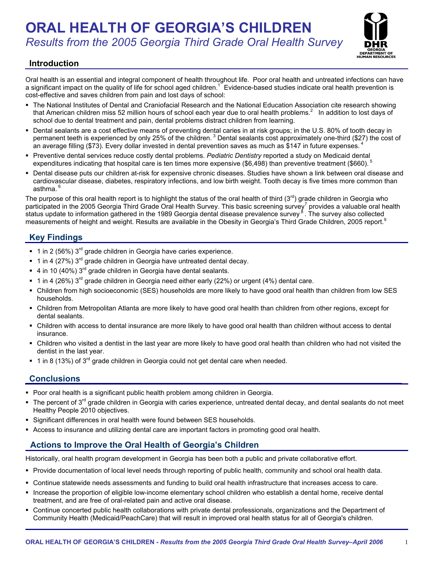# **ORAL HEALTH OF GEORGIA'S CHILDREN**  *Results from the 2005 Georgia Third Grade Oral Health Survey*



# **Introduction**

Oral health is an essential and integral component of health throughout life. Poor oral health and untreated infections can have a significant impact on the quality of life for school aged children.<sup>17</sup> Evidence-based studies indicate oral health prevention is cost-effective and saves children from pain and lost days of school:

- The National Institutes of Dental and Craniofacial Research and the National Education Association cite research showing that American children miss 52 million hours of school each year due to oral health problems.<sup>2</sup> In addition to lost days of school due to dental treatment and pain, dental problems distract children from learning.
- Dental sealants are a cost effective means of preventing dental caries in at risk groups; in the U.S. 80% of tooth decay in permanent teeth is experienced by only 25% of the children.<sup>3</sup> Dental sealants cost approximately one-third (\$27) the cost of an average filling (\$73). Every dollar invested in dental prevention saves as much as \$147 in future expenses.
- Preventive dental services reduce costly dental problems. *Pediatric Dentistry* reported a study on Medicaid dental expenditures indicating that hospital care is ten times more expensive (\$6,498) than preventive treatment (\$660).  $5$
- Dental disease puts our children at-risk for expensive chronic diseases. Studies have shown a link between oral disease and cardiovascular disease, diabetes, respiratory infections, and low birth weight. Tooth decay is five times more common than asthma.<sup>6</sup>

The purpose of this oral health report is to highlight the status of the oral health of third  $(3^{rd})$  grade children in Georgia who participated in the 2005 Georgia Third Grade Oral Health Survey. This basic screening survey<sup>7</sup> provides a valuable oral health status update to information gathered in the 1989 Georgia dental disease prevalence survey<sup>8</sup>. The survey also collected measurements of height and weight. Results are available in the Obesity in Georgia's Third Grade Children, 2005 report.<sup>9</sup>

# **Key Findings**

- $\blacksquare$  1 in 2 (56%) 3<sup>rd</sup> grade children in Georgia have caries experience.
- $\bullet$  1 in 4 (27%) 3<sup>rd</sup> grade children in Georgia have untreated dental decay.
- $\bullet$  4 in 10 (40%) 3<sup>rd</sup> grade children in Georgia have dental sealants.
- $1$  in 4 (26%) 3<sup>rd</sup> grade children in Georgia need either early (22%) or urgent (4%) dental care.
- Children from high socioeconomic (SES) households are more likely to have good oral health than children from low SES households.
- Children from Metropolitan Atlanta are more likely to have good oral health than children from other regions, except for dental sealants.
- Children with access to dental insurance are more likely to have good oral health than children without access to dental insurance.
- Children who visited a dentist in the last year are more likely to have good oral health than children who had not visited the dentist in the last year.
- $\blacksquare$  1 in 8 (13%) of 3<sup>rd</sup> grade children in Georgia could not get dental care when needed.

# **Conclusions**

- Poor oral health is a significant public health problem among children in Georgia.
- The percent of 3<sup>rd</sup> grade children in Georgia with caries experience, untreated dental decay, and dental sealants do not meet Healthy People 2010 objectives.
- **Significant differences in oral health were found between SES households.**
- Access to insurance and utilizing dental care are important factors in promoting good oral health.

# **Actions to Improve the Oral Health of Georgia's Children**

Historically, oral health program development in Georgia has been both a public and private collaborative effort.

- Provide documentation of local level needs through reporting of public health, community and school oral health data.
- Continue statewide needs assessments and funding to build oral health infrastructure that increases access to care.
- Increase the proportion of eligible low-income elementary school children who establish a dental home, receive dental treatment, and are free of oral-related pain and active oral disease.
- Continue concerted public health collaborations with private dental professionals, organizations and the Department of Community Health (Medicaid/PeachCare) that will result in improved oral health status for all of Georgia's children.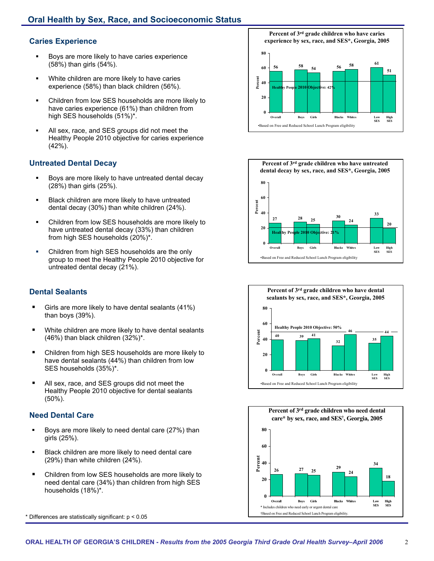## **Caries Experience**

- **Boys are more likely to have caries experience** (58%) than girls (54%).
- White children are more likely to have caries experience (58%) than black children (56%).
- Children from low SES households are more likely to have caries experience (61%) than children from high SES households (51%)\*.
- All sex, race, and SES groups did not meet the Healthy People 2010 objective for caries experience (42%).

## **Untreated Dental Decay**

- Boys are more likely to have untreated dental decay (28%) than girls (25%).
- Black children are more likely to have untreated dental decay (30%) than white children (24%).
- Children from low SES households are more likely to have untreated dental decay (33%) than children from high SES households (20%)\*.
- **Children from high SES households are the only** overall the state of the state of the state of the state of the state of the state of the state of the state of the state of the state of the state of the state of the state group to meet the Healthy People 2010 objective for untreated dental decay (21%).

# **Dental Sealants**

- Girls are more likely to have dental sealants (41%) than boys (39%).
- **Nitu Children are more likely to have dental sealants** (46%) than black children (32%)\*.
- Children from high SES households are more likely to have dental sealants (44%) than children from low SES households (35%)\*.
- All sex, race, and SES groups did not meet the Healthy People 2010 objective for dental sealants (50%).

## **Need Dental Care**

- Boys are more likely to need dental care (27%) than girls (25%).
- Black children are more likely to need dental care (29%) than white children (24%).
- Children from low SES households are more likely to need dental care (34%) than children from high SES households (18%)\*.



**Percent of 3rd grade children who have caries experience by sex, race, and SES\*, Georgia, 2005 56 58 54 56 58 <sup>61</sup> 51 0 20 40 Percent 60 80 Overall Boys Girls Blacks White SES High SES Healthy People 2010 Objective: 42%**  •Based on Free and Reduced School Lunch Program eligibility





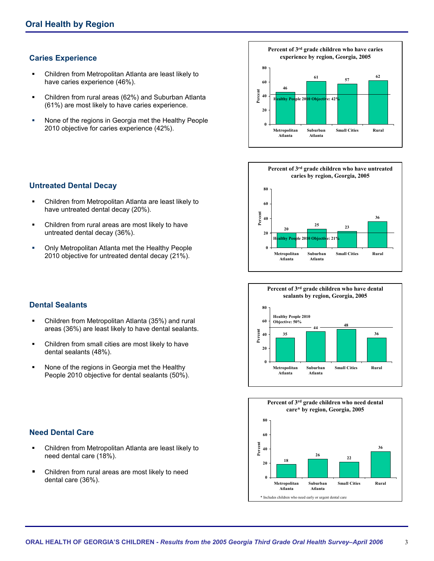## **Caries Experience**

- Children from Metropolitan Atlanta are least likely to have caries experience (46%).
- Children from rural areas (62%) and Suburban Atlanta (61%) are most likely to have caries experience.
- **None of the regions in Georgia met the Healthy People** 2010 objective for caries experience (42%).









#### **Untreated Dental Decay**

- Children from Metropolitan Atlanta are least likely to have untreated dental decay (20%).
- Children from rural areas are most likely to have untreated dental decay (36%).
- **Only Metropolitan Atlanta met the Healthy People** 2010 objective for untreated dental decay (21%).

#### **Dental Sealants**

- Children from Metropolitan Atlanta (35%) and rural areas (36%) are least likely to have dental sealants.
- Children from small cities are most likely to have dental sealants (48%).
- **None of the regions in Georgia met the Healthy** People 2010 objective for dental sealants (50%).

## **Need Dental Care**

- Children from Metropolitan Atlanta are least likely to need dental care (18%).
- Children from rural areas are most likely to need dental care (36%).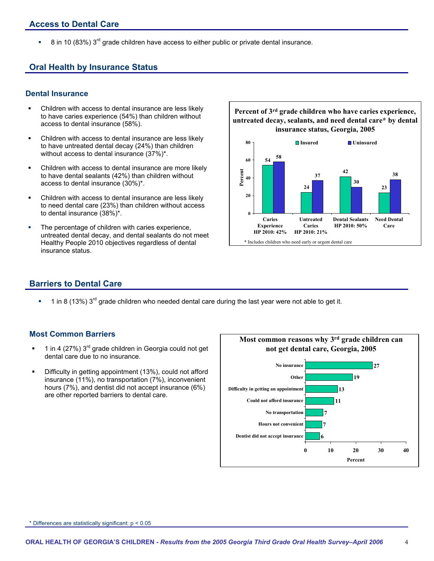# **Access to Dental Care**

 $\overline{8}$  in 10 (83%) 3<sup>rd</sup> grade children have access to either public or private dental insurance.

## **Oral Health by Insurance Status**

#### **Dental Insurance**

- Children with access to dental insurance are less likely **Percent of 3rd grade children who have caries experience,**<br>to have caries experience (54%) than children without
- Children with access to dental insurance are less likely **Insured Children Insured Insured Insured Insured I**n Uninsured **Insured Insured Insured Insured Insured Insured Insured Insured Insured** without access to dental insurance  $(37\%)^*$ .
- Children with access to dental insurance are more likely to have dental sealants (42%) than children without access to dental insurance (30%)\*.
- Children with access to dental insurance are less likely to need dental care (23%) than children without access to dental insurance (38%)\*.
- untreated dental decay, and dental sealants do not meet Healthy People 2010 objectives regardless of dental \* Includes children who need early or urgent dental care insurance status.





## **Barriers to Dental Care**

1 in 8 (13%) 3<sup>rd</sup> grade children who needed dental care during the last year were not able to get it.

#### **Most Common Barriers**

- $1$  in 4 (27%)  $3<sup>rd</sup>$  grade children in Georgia could not get dental care due to no insurance.
- Difficulty in getting appointment (13%), could not afford insurance (11%), no transportation (7%), inconvenient hours (7%), and dentist did not accept insurance (6%) are other reported barriers to dental care.



\* Differences are statistically significant: p < 0.05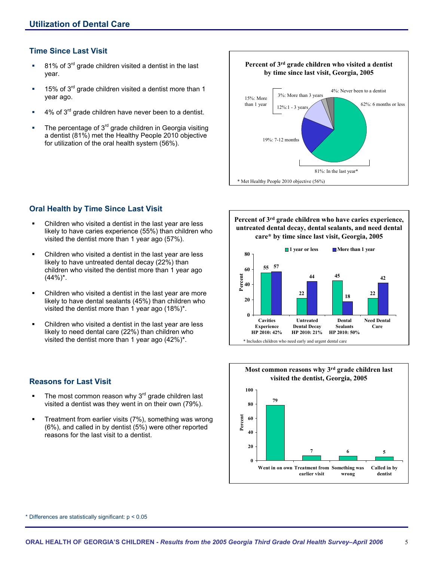## **Time Since Last Visit**

- $\blacksquare$  81% of 3<sup>rd</sup> grade children visited a dentist in the last year.
- $15\%$  of 3<sup>rd</sup> grade children visited a dentist more than 1 year ago.
- 4% of 3rd grade children have never been to a dentist.
- The percentage of  $3<sup>rd</sup>$  grade children in Georgia visiting a dentist (81%) met the Healthy People 2010 objective for utilization of the oral health system (56%).



## **Oral Health by Time Since Last Visit**

- Children who visited a dentist in the last year are less likely to have caries experience (55%) than children who visited the dentist more than 1 year ago (57%).
- Children who visited a dentist in the last year are less likely to have untreated dental decay (22%) than children who visited the dentist more than 1 year ago  $(44\%)^*$ .
- Children who visited a dentist in the last year are more likely to have dental sealants (45%) than children who visited the dentist more than 1 year ago (18%)\*.
- Children who visited a dentist in the last year are less likely to need dental care (22%) than children who visited the dentist more than 1 year ago (42%)\*.

## **Reasons for Last Visit**

- The most common reason why  $3<sup>rd</sup>$  grade children last visited a dentist was they went in on their own (79%).
- **Treatment from earlier visits (7%), something was wrong** (6%), and called in by dentist (5%) were other reported reasons for the last visit to a dentist.

**Percent of 3rd grade children who have caries experience, untreated dental decay, dental sealants, and need dental care\* by time since last visit, Georgia, 2005** 





\* Differences are statistically significant: p < 0.05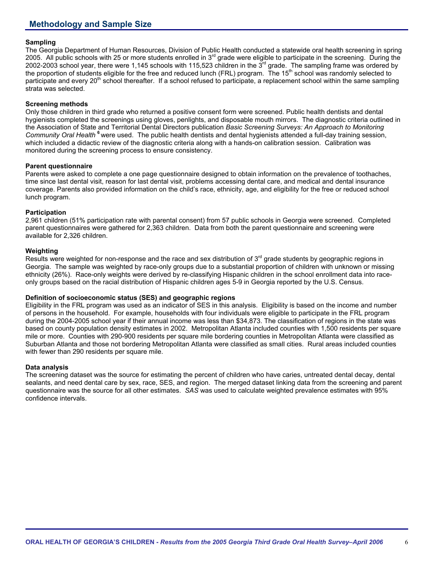# **Methodology and Sample Size**

#### **Sampling**

The Georgia Department of Human Resources, Division of Public Health conducted a statewide oral health screening in spring 2005. All public schools with 25 or more students enrolled in  $3<sup>rd</sup>$  grade were eligible to participate in the screening. During the 2002-2003 school year, there were 1,145 schools with 115,523 children in the  $3<sup>rd</sup>$  grade. The sampling frame was ordered by the proportion of students eligible for the free and reduced lunch (FRL) program. The 15<sup>th</sup> school was randomly selected to participate and every  $20<sup>th</sup>$  school thereafter. If a school refused to participate, a replacement school within the same sampling strata was selected.

#### **Screening methods**

Only those children in third grade who returned a positive consent form were screened. Public health dentists and dental hygienists completed the screenings using gloves, penlights, and disposable mouth mirrors. The diagnostic criteria outlined in the Association of State and Territorial Dental Directors publication *Basic Screening Surveys: An Approach to Monitoring Community Oral Health* **<sup>6</sup>**were used. The public health dentists and dental hygienists attended a full-day training session, which included a didactic review of the diagnostic criteria along with a hands-on calibration session. Calibration was monitored during the screening process to ensure consistency.

#### **Parent questionnaire**

Parents were asked to complete a one page questionnaire designed to obtain information on the prevalence of toothaches, time since last dental visit, reason for last dental visit, problems accessing dental care, and medical and dental insurance coverage. Parents also provided information on the child's race, ethnicity, age, and eligibility for the free or reduced school lunch program.

#### **Participation**

2,961 children (51% participation rate with parental consent) from 57 public schools in Georgia were screened. Completed parent questionnaires were gathered for 2,363 children. Data from both the parent questionnaire and screening were available for 2,326 children.

#### **Weighting**

Results were weighted for non-response and the race and sex distribution of 3<sup>rd</sup> grade students by geographic regions in Georgia. The sample was weighted by race-only groups due to a substantial proportion of children with unknown or missing ethnicity (26%). Race-only weights were derived by re-classifying Hispanic children in the school enrollment data into raceonly groups based on the racial distribution of Hispanic children ages 5-9 in Georgia reported by the U.S. Census.

#### **Definition of socioeconomic status (SES) and geographic regions**

Eligibility in the FRL program was used as an indicator of SES in this analysis. Eligibility is based on the income and number of persons in the household. For example, households with four individuals were eligible to participate in the FRL program during the 2004-2005 school year if their annual income was less than \$34,873. The classification of regions in the state was based on county population density estimates in 2002. Metropolitan Atlanta included counties with 1,500 residents per square mile or more. Counties with 290-900 residents per square mile bordering counties in Metropolitan Atlanta were classified as Suburban Atlanta and those not bordering Metropolitan Atlanta were classified as small cities. Rural areas included counties with fewer than 290 residents per square mile.

#### **Data analysis**

The screening dataset was the source for estimating the percent of children who have caries, untreated dental decay, dental sealants, and need dental care by sex, race, SES, and region. The merged dataset linking data from the screening and parent questionnaire was the source for all other estimates. *SAS* was used to calculate weighted prevalence estimates with 95% confidence intervals.